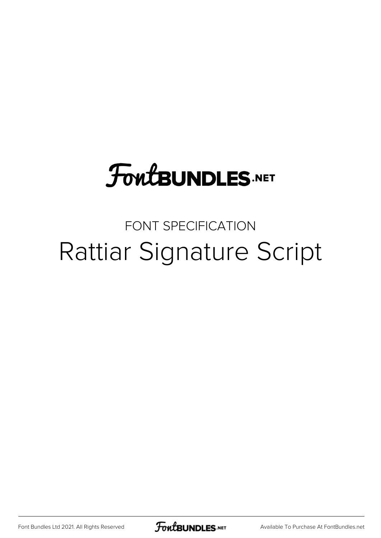## **FoutBUNDLES.NET**

## FONT SPECIFICATION Rattiar Signature Script

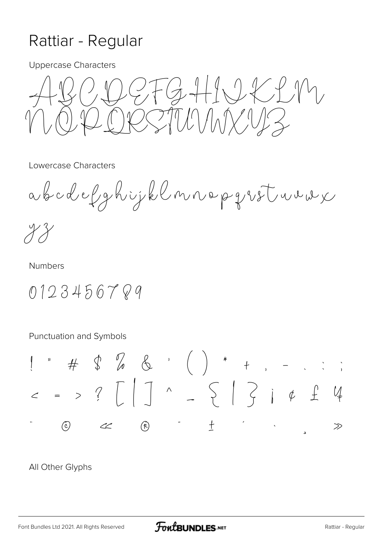## Rattiar - Regular

**Uppercase Characters** 

 $2FGHQCDM$ ICCTILININUZ

Lowercase Characters

abcdelghijklmnepgrstwuw

**Numbers** 

0123456789

Punctuation and Symbols

All Other Glyphs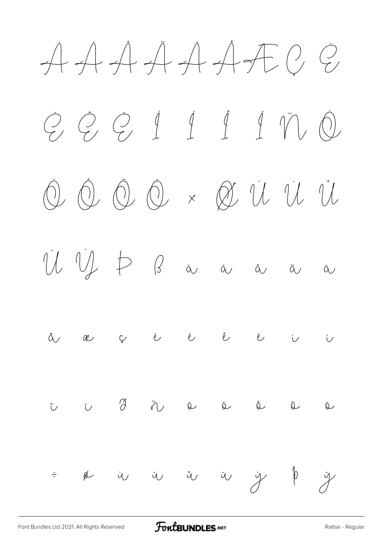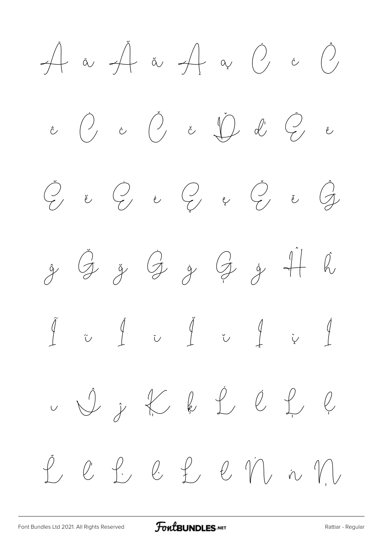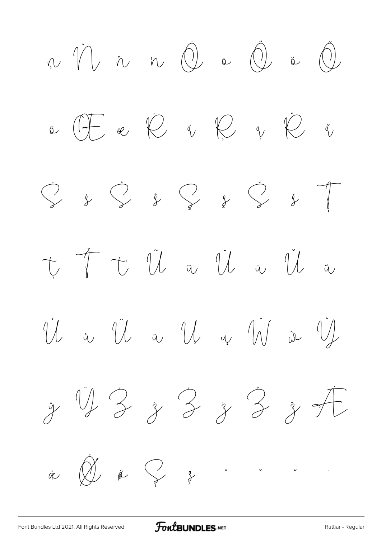$\begin{array}{ccccc} \eta \wedge & \gamma \wedge & \gamma \wedge & \eta \wedge & \text{in} & \text{(1)}\\ \eta \wedge & \eta \wedge & \eta \wedge & \text{(2)} & \text{in} & \text{(3)}\\ \end{array}$  $\begin{array}{ccccccccccccc} \phi & \text{if}& \phi & \text{if}& \phi & \text{if}& \phi & \phi \\ \end{array} \begin{array}{ccccccccccccc} \phi & \text{if}& \phi & \text{if}& \phi & \text{if}& \phi & \phi \\ \end{array}$  $\bigodot$  $\begin{array}{ccc} \uparrow & \uparrow & \uparrow & \hat{\mathbb{U}} & \text{if} & \text{if} & \text{if} & \text{if} & \text{if} & \text{if} & \text{if} & \text{if} & \text{if} & \text{if} & \text{if} & \text{if} & \text{if} & \text{if} & \text{if} & \text{if} & \text{if} & \text{if} & \text{if} & \text{if} & \text{if} & \text{if} & \text{if} & \text{if} & \text{if} & \text{if} & \text{if} & \text{if} & \text{if} & \text{if} & \text{if} & \text{if} & \$ Vi a Vi a Vi a VV ie VI  $\frac{1}{7}$  US 3 3 3 3 7  $\overbrace{\mathscr{R}}^{*} \overbrace{\mathscr{R}}^{*} \overbrace{\mathscr{R}}^{*}$  $\begin{matrix} 1 & 1 \\ 1 & 1 \end{matrix}$  $\label{eq:2.1} \begin{array}{c} \mathcal{O}(\mathcal{O}_{\mathbb{R}^3}) \times \mathcal{O}_{\mathbb{R}^3}(\mathcal{O}_{\mathbb{R}^3}) \times \mathcal{O}_{\mathbb{R}^3}(\mathcal{O}_{\mathbb{R}^3}) \end{array}$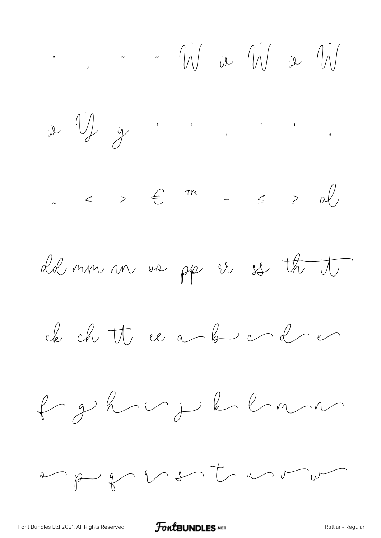$\therefore$   $\therefore$   $\frac{1}{2}$   $\therefore$   $\frac{1}{2}$   $\frac{1}{2}$   $\therefore$   $\frac{1}{2}$   $\frac{1}{2}$   $\therefore$   $\frac{1}{2}$   $\frac{1}{2}$   $\therefore$   $\frac{1}{2}$   $\therefore$   $\frac{1}{2}$   $\therefore$   $\frac{1}{2}$   $\therefore$   $\frac{1}{2}$   $\therefore$   $\frac{1}{2}$   $\therefore$   $\frac{1}{2}$   $\therefore$   $\frac{1}{2}$   $\therefore$   $\frac$ 

 $\int_{a}^{b} \frac{1}{b^{a}} \int_{a}^{b} \frac{1}{b^{a}} \int_{a}^{b} \frac{1}{b^{a}} \int_{a}^{b} \frac{1}{b^{a}} \int_{a}^{b} \frac{1}{b^{a}} \int_{a}^{b} \frac{1}{b^{a}} \int_{a}^{b} \frac{1}{b^{a}} \int_{a}^{b} \frac{1}{b^{a}} \int_{a}^{b} \frac{1}{b^{a}} \int_{a}^{b} \frac{1}{b^{a}} \int_{a}^{b} \frac{1}{b^{a}} \int_{a}^{b} \frac{1}{b^{a}} \int_{a}^{b} \frac{1}{b^{a$ 





de ch tt ee a b c d e

 $\leftarrow p$  b is plan

en pu for so to un un